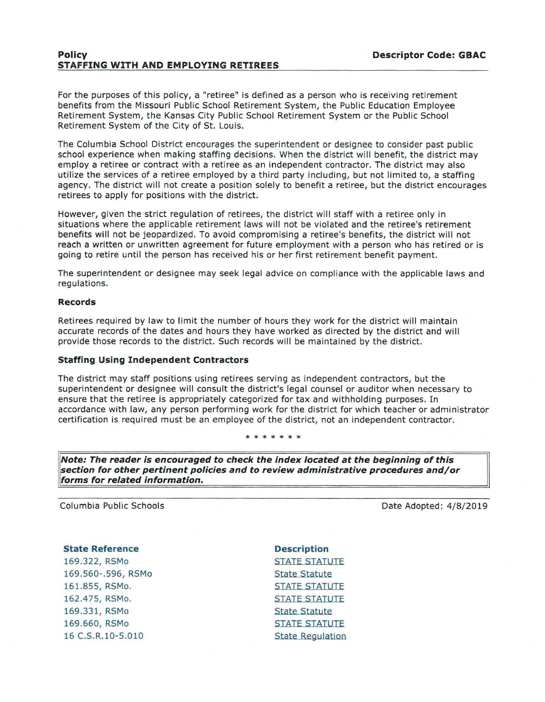# **Policy Descriptor Code: GBAC STAFFING WITH AND EMPLOYING RETIREES**

For the purposes of this policy, a "retiree" is defined as a person who is receiving retirement benefits from the Missouri Public School Retirement System, the Public Education Employee Retirement System, the Kansas City Public School Retirement System or the Public School Retirement System of the City of St. Louis.

The Columbia School District encourages the superintendent or designee to consider past public school experience when making staffing decisions. When the district will benefit, the district may employ a retiree or contract with a retiree as an independent contractor. The district may also utilize the services of a retiree employed by a third party including, but not limited to, a staffing agency. The district will not create a position solely to benefit a retiree, but the district encourages retirees to apply for positions with the district.

However, given the strict regulation of retirees, the district will staff with a retiree only in situations where the applicable retirement laws will not be violated and the retiree's retirement benefits will not be jeopardized. To avoid compromising a retiree's benefits, the district will not reach a written or unwritten agreement for future employment with a person who has retired or is going to retire until the person has received his or her first retirement benefit payment.

The superintendent or designee may seek legal advice on compliance with the applicable laws and regulations.

### **Records**

Retirees required by law to limit the number of hours they work for the district will maintain accurate records of the dates and hours they have worked as directed by the district and will provide those records to the district. Such records will be maintained by the district.

## **Staffing Using Independent Contractors**

The district may staff positions using retirees serving as independent contractors, but the superintendent or designee will consult the district's legal counsel or auditor when necessary to ensure that the retiree is appropriately categorized for tax and withholding purposes. In accordance with law, any person performing work for the district for which teacher or administrator certification is required must be an employee of the district, not an independent contractor.

#### \* \* \* \* \* \*

**Note: The reader is encouraged to check the index located at the beginning of this section for other pertinent policies and to review administrative procedures and/or forms for related information.** 

Columbia Public Schools

Date Adopted: 4/8/2019

#### **State Reference**

169.322, RSMo 169.560-.596, RSMo 161.855, RSMo. 162.475, RSMo. 169.331, RSMo 169.660, RSMo 16 C.S.R.10-5.010

**Description**  STATE STATUTE State Statute STATE STATUTE STATE STATUTE State Statute STATE STATUTE State Regulation